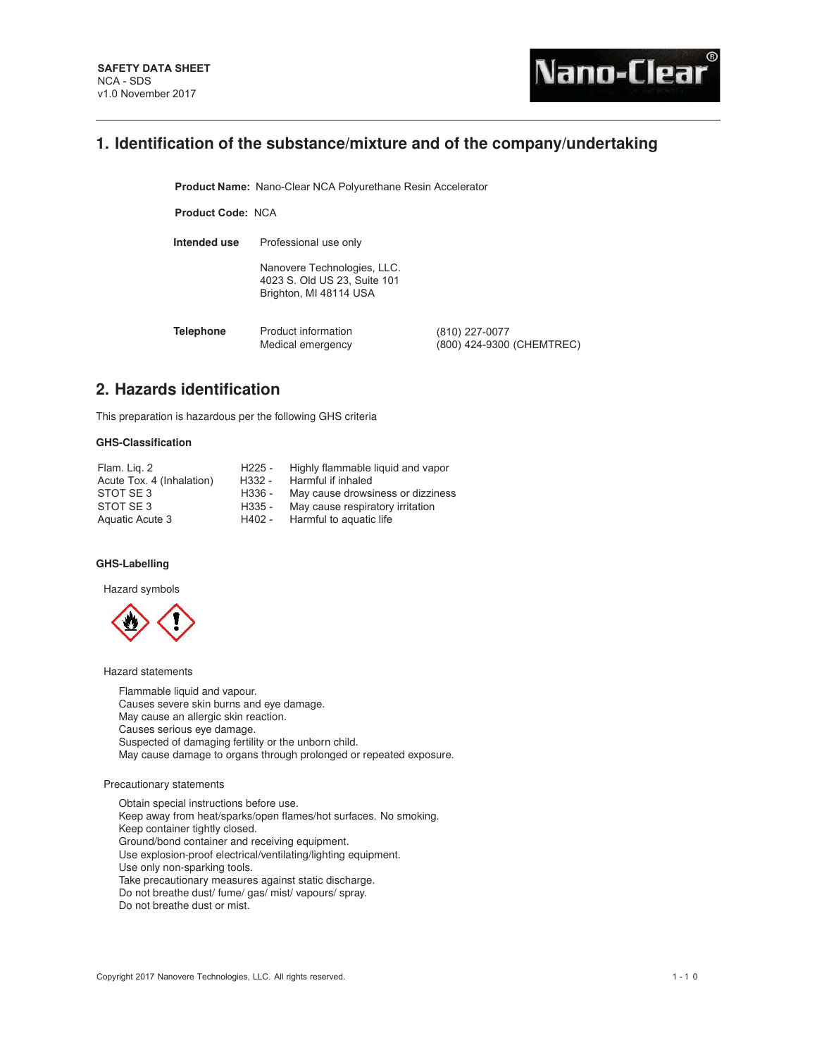# **1. Identification of the substance/mixture and of the company/undertaking**

**Product Name: Nano-Clear NCA Polyurethane Resin Accelerator** 

**Product Code:** NCA

**Intended use** Professional use only

Nanovere Technologies, LLC. 4023 S. Old US 23, Suite 101 Brighton, MI 48114 USA

**Telephone** Product information Medical emergency (810) 227-0077 (800) 424-9300 (CHEMTREC)

# **2. Hazards identification**

This preparation is hazardous per the following GHS criteria

# **GHS-Classification**

| Flam. Lig. 2              | H225 - | Highly flammable liquid and vapor |
|---------------------------|--------|-----------------------------------|
| Acute Tox. 4 (Inhalation) | H332 - | Harmful if inhaled                |
| STOT SE3                  | H336 - | May cause drowsiness or dizziness |
| STOT SE3                  | H335 - | May cause respiratory irritation  |
| Aquatic Acute 3           | H402 - | Harmful to aguatic life           |

# **GHS-Labelling**

Hazard symbols



Hazard statements

Flammable liquid and vapour. Causes severe skin burns and eye damage. May cause an allergic skin reaction. Causes serious eye damage. Suspected of damaging fertility or the unborn child. May cause damage to organs through prolonged or repeated exposure.

### Precautionary statements

Obtain special instructions before use. Keep away from heat/sparks/open flames/hot surfaces. No smoking. Keep container tightly closed. Ground/bond container and receiving equipment. Use explosion-proof electrical/ventilating/lighting equipment. Use only non-sparking tools. Take precautionary measures against static discharge. Do not breathe dust/ fume/ gas/ mist/ vapours/ spray. Do not breathe dust or mist.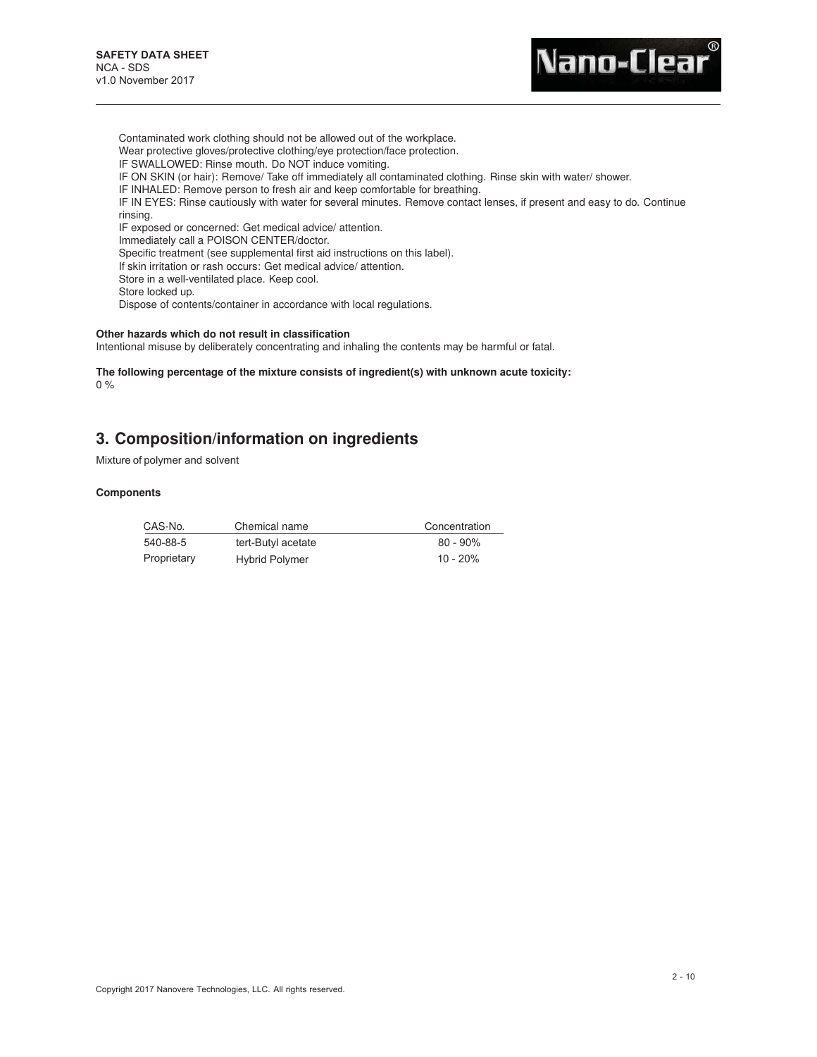

Contaminated work clothing should not be allowed out of the workplace. Wear protective gloves/protective clothing/eye protection/face protection. IF SWALLOWED: Rinse mouth. Do NOT induce vomiting. IF ON SKIN (or hair): Remove/ Take off immediately all contaminated clothing. Rinse skin with water/ shower. IF INHALED: Remove person to fresh air and keep comfortable for breathing. IF IN EYES: Rinse cautiously with water for several minutes. Remove contact lenses, if present and easy to do. Continue rinsing. IF exposed or concerned: Get medical advice/ attention. Immediately call a POISON CENTER/doctor. Specific treatment (see supplemental first aid instructions on this label). If skin irritation or rash occurs: Get medical advice/ attention. Store in a well-ventilated place. Keep cool. Store locked up.

Dispose of contents/container in accordance with local regulations.

#### **Other hazards which do not result in classification**

Intentional misuse by deliberately concentrating and inhaling the contents may be harmful or fatal.

**The following percentage of the mixture consists of ingredient(s) with unknown acute toxicity:** 0 %

# **3. Composition/information on ingredients**

Mixture of polymer and solvent

# **Components**

| CAS-No.     | Chemical name         | Concentration |
|-------------|-----------------------|---------------|
| 540-88-5    | tert-Butyl acetate    | $80 - 90\%$   |
| Proprietary | <b>Hybrid Polymer</b> | $10 - 20%$    |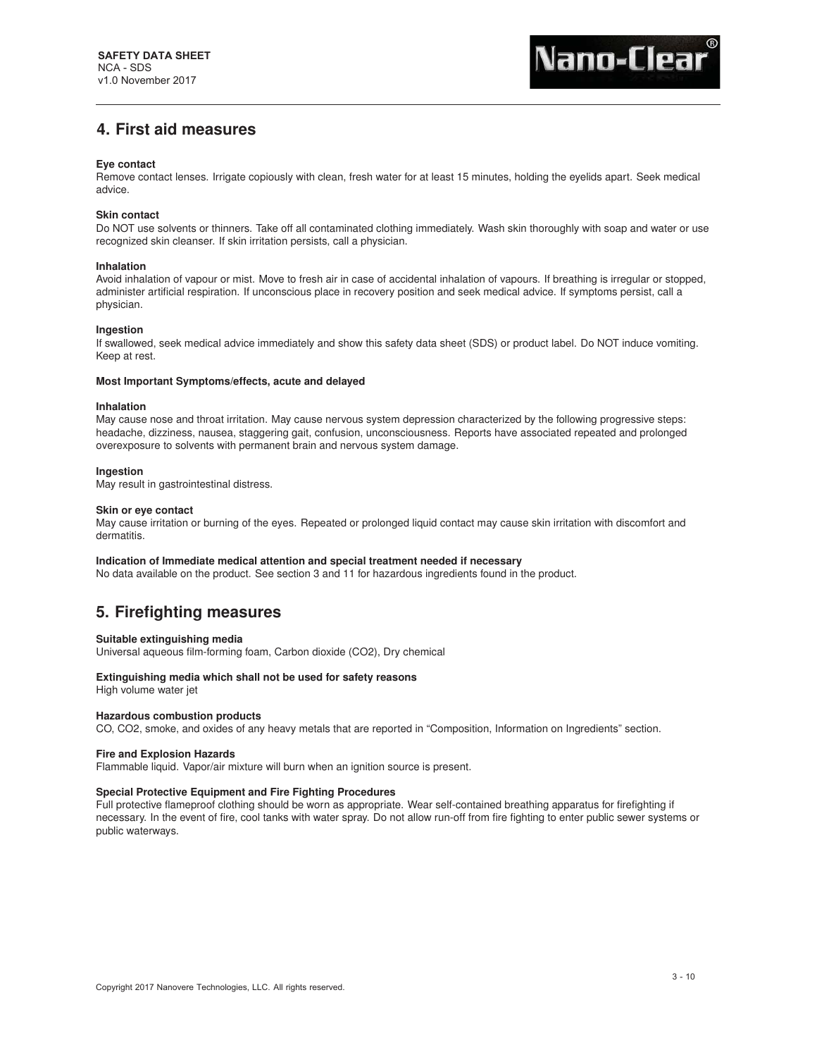# **4. First aid measures**

## **Eye contact**

Remove contact lenses. Irrigate copiously with clean, fresh water for at least 15 minutes, holding the eyelids apart. Seek medical advice.

# **Skin contact**

Do NOT use solvents or thinners. Take off all contaminated clothing immediately. Wash skin thoroughly with soap and water or use recognized skin cleanser. If skin irritation persists, call a physician.

### **Inhalation**

Avoid inhalation of vapour or mist. Move to fresh air in case of accidental inhalation of vapours. If breathing is irregular or stopped, administer artificial respiration. If unconscious place in recovery position and seek medical advice. If symptoms persist, call a physician.

### **Ingestion**

If swallowed, seek medical advice immediately and show this safety data sheet (SDS) or product label. Do NOT induce vomiting. Keep at rest.

## **Most Important Symptoms/effects, acute and delayed**

### **Inhalation**

May cause nose and throat irritation. May cause nervous system depression characterized by the following progressive steps: headache, dizziness, nausea, staggering gait, confusion, unconsciousness. Reports have associated repeated and prolonged overexposure to solvents with permanent brain and nervous system damage.

## **Ingestion**

May result in gastrointestinal distress.

### **Skin or eye contact**

May cause irritation or burning of the eyes. Repeated or prolonged liquid contact may cause skin irritation with discomfort and dermatitis.

### **Indication of Immediate medical attention and special treatment needed if necessary**

No data available on the product. See section 3 and 11 for hazardous ingredients found in the product.

# **5. Firefighting measures**

### **Suitable extinguishing media**

Universal aqueous film-forming foam, Carbon dioxide (CO2), Dry chemical

### **Extinguishing media which shall not be used for safety reasons**

High volume water jet

### **Hazardous combustion products**

CO, CO2, smoke, and oxides of any heavy metals that are reported in "Composition, Information on Ingredients" section.

## **Fire and Explosion Hazards**

Flammable liquid. Vapor/air mixture will burn when an ignition source is present.

## **Special Protective Equipment and Fire Fighting Procedures**

Full protective flameproof clothing should be worn as appropriate. Wear self-contained breathing apparatus for firefighting if necessary. In the event of fire, cool tanks with water spray. Do not allow run-off from fire fighting to enter public sewer systems or public waterways.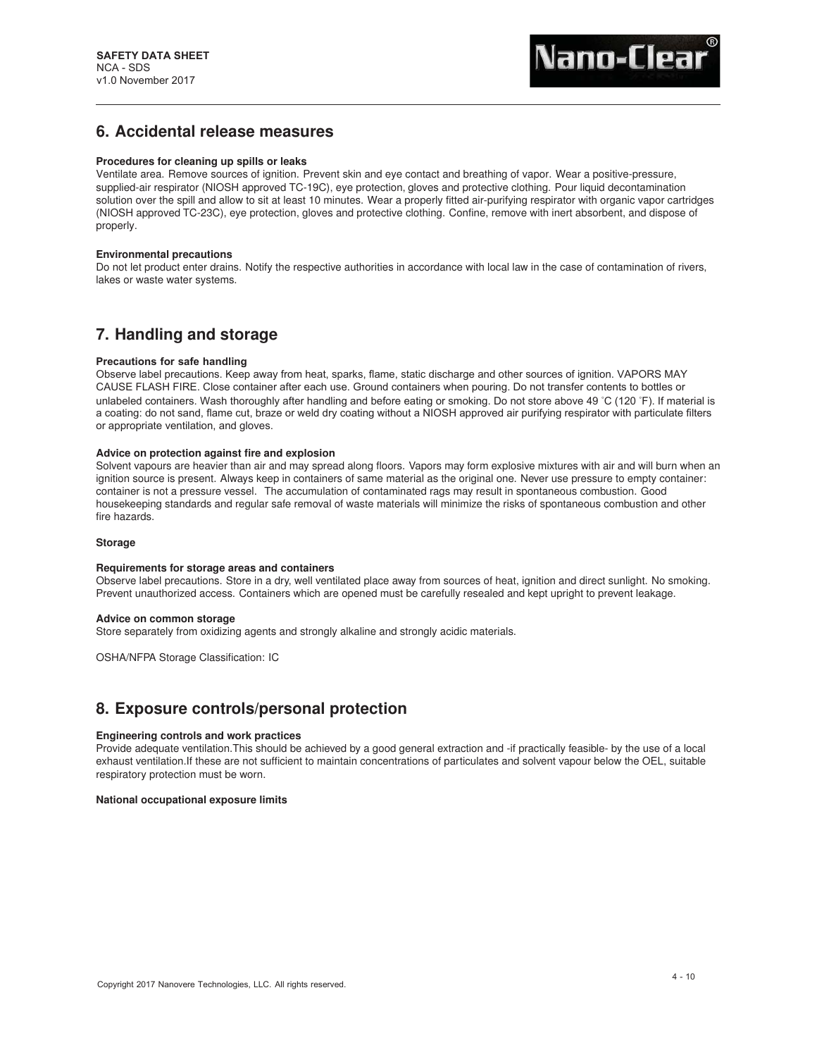# **6. Accidental release measures**

## **Procedures for cleaning up spills or leaks**

Ventilate area. Remove sources of ignition. Prevent skin and eye contact and breathing of vapor. Wear a positive-pressure, supplied-air respirator (NIOSH approved TC-19C), eye protection, gloves and protective clothing. Pour liquid decontamination solution over the spill and allow to sit at least 10 minutes. Wear a properly fitted air-purifying respirator with organic vapor cartridges (NIOSH approved TC-23C), eye protection, gloves and protective clothing. Confine, remove with inert absorbent, and dispose of properly.

# **Environmental precautions**

Do not let product enter drains. Notify the respective authorities in accordance with local law in the case of contamination of rivers, lakes or waste water systems.

# **7. Handling and storage**

## **Precautions for safe handling**

Observe label precautions. Keep away from heat, sparks, flame, static discharge and other sources of ignition. VAPORS MAY CAUSE FLASH FIRE. Close container after each use. Ground containers when pouring. Do not transfer contents to bottles or unlabeled containers. Wash thoroughly after handling and before eating or smoking. Do not store above 49 *◦*C (120 *◦*F). If material is a coating: do not sand, flame cut, braze or weld dry coating without a NIOSH approved air purifying respirator with particulate filters or appropriate ventilation, and gloves.

### **Advice on protection against fire and explosion**

Solvent vapours are heavier than air and may spread along floors. Vapors may form explosive mixtures with air and will burn when an ignition source is present. Always keep in containers of same material as the original one. Never use pressure to empty container: container is not a pressure vessel. The accumulation of contaminated rags may result in spontaneous combustion. Good housekeeping standards and regular safe removal of waste materials will minimize the risks of spontaneous combustion and other fire hazards.

### **Storage**

### **Requirements for storage areas and containers**

Observe label precautions. Store in a dry, well ventilated place away from sources of heat, ignition and direct sunlight. No smoking. Prevent unauthorized access. Containers which are opened must be carefully resealed and kept upright to prevent leakage.

### **Advice on common storage**

Store separately from oxidizing agents and strongly alkaline and strongly acidic materials.

OSHA/NFPA Storage Classification: IC

# **8. Exposure controls/personal protection**

### **Engineering controls and work practices**

Provide adequate ventilation.This should be achieved by a good general extraction and -if practically feasible- by the use of a local exhaust ventilation.If these are not sufficient to maintain concentrations of particulates and solvent vapour below the OEL, suitable respiratory protection must be worn.

### **National occupational exposure limits**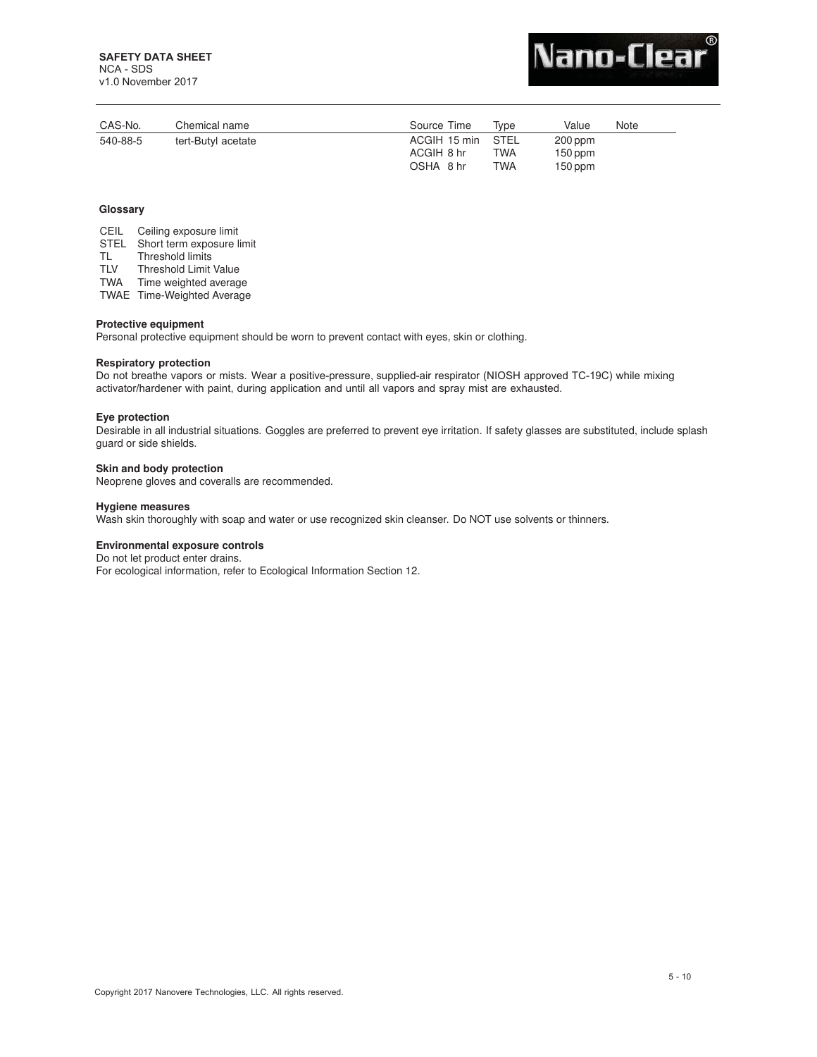v1.0 November 2017



| CAS-No.  | Chemical name      | Source Time                     | Tvpe | Value                  | Note |
|----------|--------------------|---------------------------------|------|------------------------|------|
| 540-88-5 | tert-Butyl acetate | ACGIH 15 min STEL<br>ACGIH 8 hr | TWA  | $200$ ppm<br>$150$ ppm |      |
|          |                    | OSHA 8 hr                       | TWA  | $150$ ppm              |      |

## **Glossary**

CEIL Ceiling exposure limit STEL Short term exposure limit<br>TL Threshold limits TL Threshold limits<br>TLV Threshold Limit Threshold Limit Value TWA Time weighted average

TWAE Time-Weighted Average

# **Protective equipment**

Personal protective equipment should be worn to prevent contact with eyes, skin or clothing.

### **Respiratory protection**

Do not breathe vapors or mists. Wear a positive-pressure, supplied-air respirator (NIOSH approved TC-19C) while mixing activator/hardener with paint, during application and until all vapors and spray mist are exhausted.

### **Eye protection**

Desirable in all industrial situations. Goggles are preferred to prevent eye irritation. If safety glasses are substituted, include splash guard or side shields.

# **Skin and body protection**

Neoprene gloves and coveralls are recommended.

# **Hygiene measures**

Wash skin thoroughly with soap and water or use recognized skin cleanser. Do NOT use solvents or thinners.

### **Environmental exposure controls**

Do not let product enter drains.

For ecological information, refer to Ecological Information Section 12.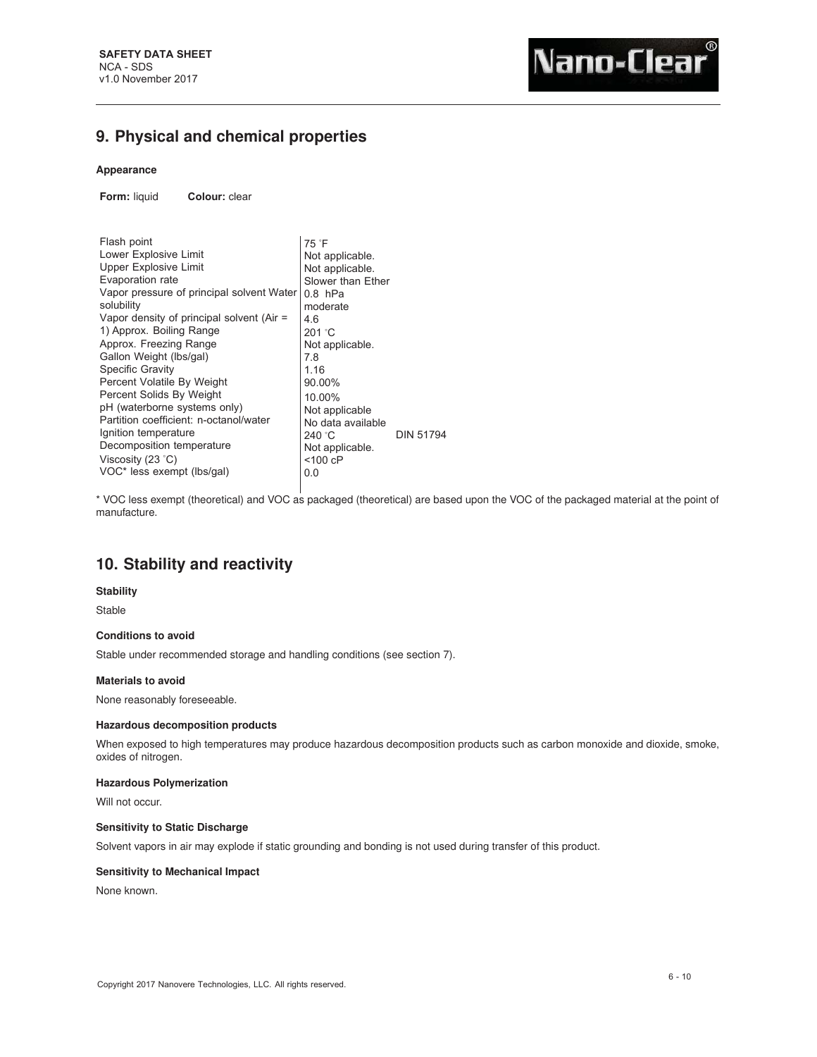# **9. Physical and chemical properties**

# **Appearance**

**Form:** liquid **Colour:** clear

| Flash point<br>Lower Explosive Limit<br><b>Upper Explosive Limit</b><br>Evaporation rate<br>Vapor pressure of principal solvent Water<br>solubility<br>Vapor density of principal solvent (Air =<br>1) Approx. Boiling Range<br>Approx. Freezing Range<br>Gallon Weight (lbs/gal)<br><b>Specific Gravity</b><br>Percent Volatile By Weight | 75 °F<br>Not applicable.<br>Not applicable.<br>Slower than Ether<br>$0.8$ hPa<br>moderate<br>4.6<br>201 °C<br>Not applicable.<br>7.8<br>1.16<br>90.00% |           |
|--------------------------------------------------------------------------------------------------------------------------------------------------------------------------------------------------------------------------------------------------------------------------------------------------------------------------------------------|--------------------------------------------------------------------------------------------------------------------------------------------------------|-----------|
| Percent Solids By Weight<br>pH (waterborne systems only)<br>Partition coefficient: n-octanol/water<br>Ignition temperature<br>Decomposition temperature<br>Viscosity (23 °C)<br>VOC* less exempt (lbs/gal)                                                                                                                                 | 10.00%<br>Not applicable<br>No data available<br>240 °C<br>Not applicable.<br>$<$ 100 cP<br>0.0                                                        | DIN 51794 |

\* VOC less exempt (theoretical) and VOC as packaged (theoretical) are based upon the VOC of the packaged material at the point of manufacture.

# **10. Stability and reactivity**

# **Stability**

Stable

# **Conditions to avoid**

Stable under recommended storage and handling conditions (see section 7).

# **Materials to avoid**

None reasonably foreseeable.

# **Hazardous decomposition products**

When exposed to high temperatures may produce hazardous decomposition products such as carbon monoxide and dioxide, smoke, oxides of nitrogen.

# **Hazardous Polymerization**

Will not occur.

# **Sensitivity to Static Discharge**

Solvent vapors in air may explode if static grounding and bonding is not used during transfer of this product.

# **Sensitivity to Mechanical Impact**

None known.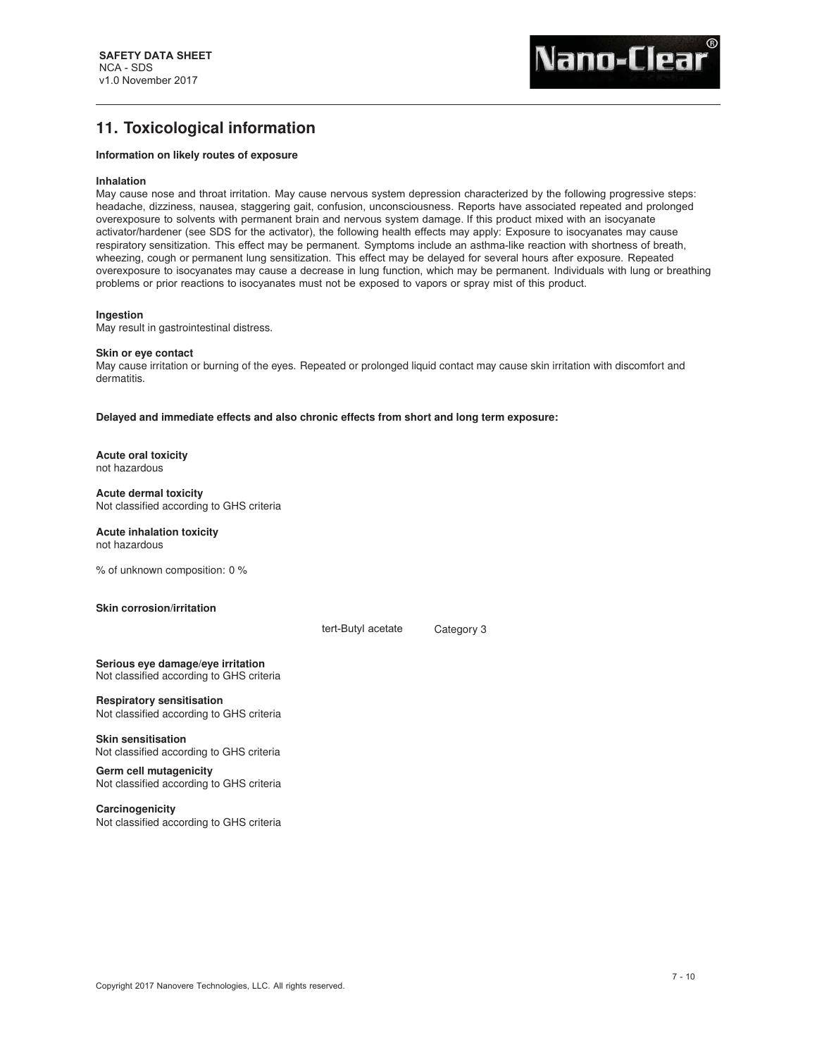# **11. Toxicological information**

# **Information on likely routes of exposure**

#### **Inhalation**

May cause nose and throat irritation. May cause nervous system depression characterized by the following progressive steps: headache, dizziness, nausea, staggering gait, confusion, unconsciousness. Reports have associated repeated and prolonged overexposure to solvents with permanent brain and nervous system damage. If this product mixed with an isocyanate activator/hardener (see SDS for the activator), the following health effects may apply: Exposure to isocyanates may cause respiratory sensitization. This effect may be permanent. Symptoms include an asthma-like reaction with shortness of breath, wheezing, cough or permanent lung sensitization. This effect may be delayed for several hours after exposure. Repeated overexposure to isocyanates may cause a decrease in lung function, which may be permanent. Individuals with lung or breathing problems or prior reactions to isocyanates must not be exposed to vapors or spray mist of this product.

#### **Ingestion**

May result in gastrointestinal distress.

#### **Skin or eye contact**

May cause irritation or burning of the eyes. Repeated or prolonged liquid contact may cause skin irritation with discomfort and dermatitis.

**Delayed and immediate effects and also chronic effects from short and long term exposure:**

**Acute oral toxicity** not hazardous

**Acute dermal toxicity** Not classified according to GHS criteria

# **Acute inhalation toxicity**

not hazardous

% of unknown composition: 0 %

### **Skin corrosion/irritation**

tert-Butyl acetate Category 3

**Serious eye damage/eye irritation** Not classified according to GHS criteria

**Respiratory sensitisation** Not classified according to GHS criteria

**Skin sensitisation** Not classified according to GHS criteria

**Germ cell mutagenicity** Not classified according to GHS criteria

**Carcinogenicity** Not classified according to GHS criteria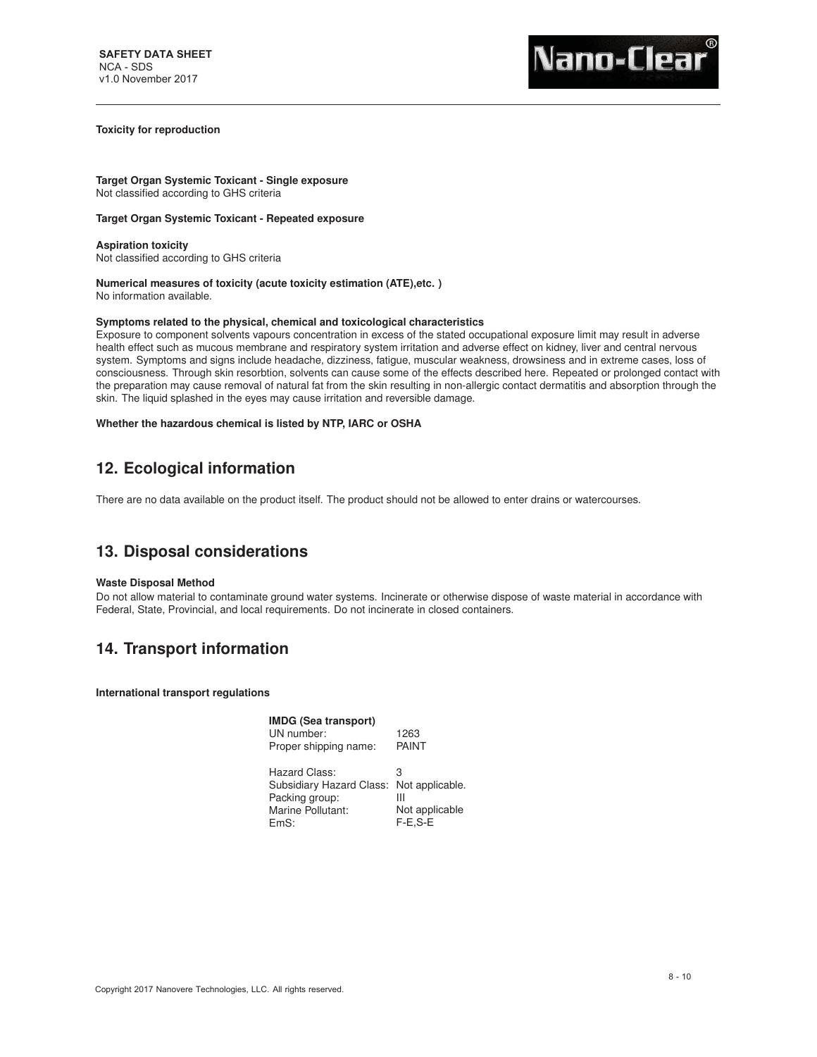## **Toxicity for reproduction**

**Target Organ Systemic Toxicant - Single exposure** Not classified according to GHS criteria

# **Target Organ Systemic Toxicant - Repeated exposure**

**Aspiration toxicity** Not classified according to GHS criteria

## **Numerical measures of toxicity (acute toxicity estimation (ATE),etc. )** No information available.

# **Symptoms related to the physical, chemical and toxicological characteristics**

Exposure to component solvents vapours concentration in excess of the stated occupational exposure limit may result in adverse health effect such as mucous membrane and respiratory system irritation and adverse effect on kidney, liver and central nervous system. Symptoms and signs include headache, dizziness, fatigue, muscular weakness, drowsiness and in extreme cases, loss of consciousness. Through skin resorbtion, solvents can cause some of the effects described here. Repeated or prolonged contact with the preparation may cause removal of natural fat from the skin resulting in non-allergic contact dermatitis and absorption through the skin. The liquid splashed in the eyes may cause irritation and reversible damage.

## **Whether the hazardous chemical is listed by NTP, IARC or OSHA**

# **12. Ecological information**

There are no data available on the product itself. The product should not be allowed to enter drains or watercourses.

# **13. Disposal considerations**

### **Waste Disposal Method**

Do not allow material to contaminate ground water systems. Incinerate or otherwise dispose of waste material in accordance with Federal, State, Provincial, and local requirements. Do not incinerate in closed containers.

# **14. Transport information**

**International transport regulations**

| <b>IMDG (Sea transport)</b><br>UN number:<br>Proper shipping name:                                       | 1263<br><b>PAINT</b>                  |
|----------------------------------------------------------------------------------------------------------|---------------------------------------|
| Hazard Class:<br>Subsidiary Hazard Class: Not applicable.<br>Packing group:<br>Marine Pollutant:<br>FmS: | З<br>Ш<br>Not applicable<br>$F-E.S-E$ |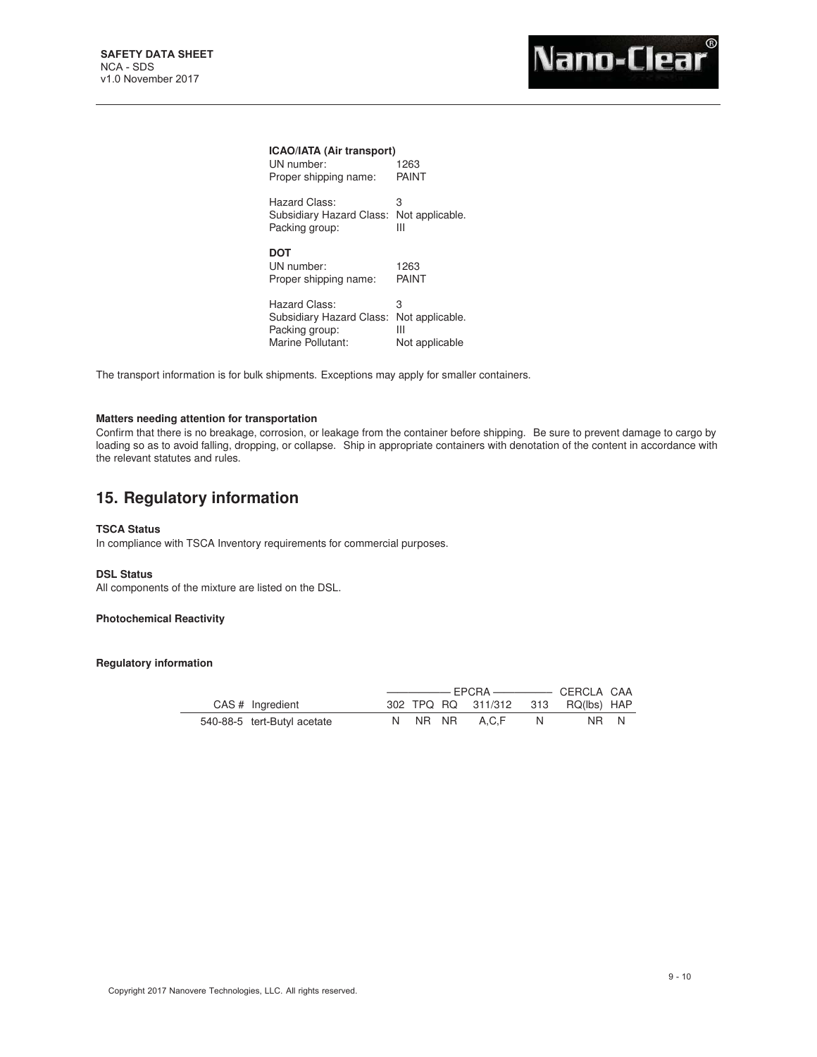| <b>ICAO/IATA (Air transport)</b><br>UN number:                                   | 1263                                        |
|----------------------------------------------------------------------------------|---------------------------------------------|
| Proper shipping name:                                                            | PAINT                                       |
| Hazard Class:<br>Subsidiary Hazard Class:<br>Packing group:                      | З<br>Not applicable.<br>Ш                   |
| DOT<br>UN number:<br>Proper shipping name:                                       | 1263<br>PAINT                               |
| Hazard Class:<br>Subsidiary Hazard Class:<br>Packing group:<br>Marine Pollutant: | 3<br>Not applicable.<br>Ш<br>Not applicable |

The transport information is for bulk shipments. Exceptions may apply for smaller containers.

# **Matters needing attention for transportation**

Confirm that there is no breakage, corrosion, or leakage from the container before shipping. Be sure to prevent damage to cargo by loading so as to avoid falling, dropping, or collapse. Ship in appropriate containers with denotation of the content in accordance with the relevant statutes and rules.

# **15. Regulatory information**

# **TSCA Status**

In compliance with TSCA Inventory requirements for commercial purposes.

# **DSL Status**

All components of the mixture are listed on the DSL.

# **Photochemical Reactivity**

**Regulatory information**

| CAS # Ingredient            |  | 302 TPQ RQ 311/312 313 RQ(lbs) HAP |    |      |
|-----------------------------|--|------------------------------------|----|------|
| 540-88-5 tert-Butyl acetate |  | N NR NR A.C.F                      | N. | NR N |